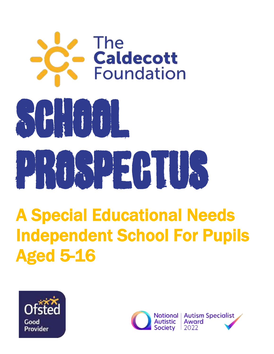

# A Special Educational Needs Independent School For Pupils Aged 5-16



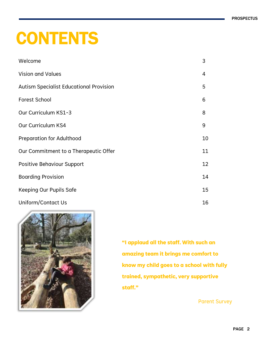# **CONTENTS**

| Welcome                                        | 3  |
|------------------------------------------------|----|
| <b>Vision and Values</b>                       | 4  |
| <b>Autism Specialist Educational Provision</b> | 5  |
| Forest School                                  | 6  |
| Our Curriculum KS1-3                           | 8  |
| Our Curriculum KS4                             | 9  |
| <b>Preparation for Adulthood</b>               | 10 |
| Our Commitment to a Therapeutic Offer          | 11 |
| <b>Positive Behaviour Support</b>              | 12 |
| <b>Boarding Provision</b>                      | 14 |
| Keeping Our Pupils Safe                        | 15 |
| Uniform/Contact Us                             | 16 |



**"I applaud all the staff. With such an amazing team it brings me comfort to know my child goes to a school with fully trained, sympathetic, very supportive staff."**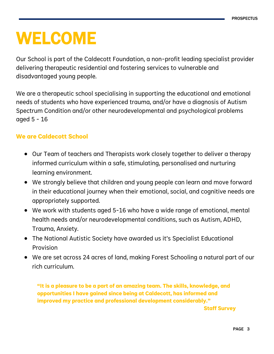# WELCOME

Our School is part of the Caldecott Foundation, a non-profit leading specialist provider delivering therapeutic residential and fostering services to vulnerable and disadvantaged young people.

We are a therapeutic school specialising in supporting the educational and emotional needs of students who have experienced trauma, and/or have a diagnosis of Autism Spectrum Condition and/or other neurodevelopmental and psychological problems aged 5 - 16

## **We are Caldecott School**

- Our Team of teachers and Therapists work closely together to deliver a therapy informed curriculum within a safe, stimulating, personalised and nurturing learning environment.
- We strongly believe that children and young people can learn and move forward in their educational journey when their emotional, social, and cognitive needs are appropriately supported.
- We work with students aged 5-16 who have a wide range of emotional, mental health needs and/or neurodevelopmental conditions, such as Autism, ADHD, Trauma, Anxiety.
- The National Autistic Society have awarded us it's Specialist Educational Provision
- We are set across 24 acres of land, making Forest Schooling a natural part of our rich curriculum.

**"It is a pleasure to be a part of an amazing team. The skills, knowledge, and opportunities I have gained since being at Caldecott, has informed and improved my practice and professional development considerably."**

**Staff Survey**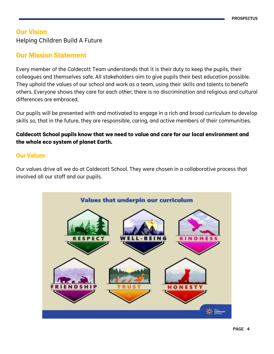## Our Vision

Helping Children Build A Future

## Our Mission Statement

Every member of the Caldecott Team understands that it is their duty to keep the pupils, their colleagues and themselves safe. All stakeholders aim to give pupils their best education possible. They uphold the values of our school and work as a team, using their skills and talents to benefit others. Everyone shows they care for each other; there is no discrimination and religious and cultural differences are embraced.

Our pupils will be presented with and motivated to engage in a rich and broad curriculum to develop skills so, that in the future, they are responsible, caring, and active members of their communities.

## **Caldecott School pupils know that we need to value and care for our local environment and the whole eco system of planet Earth.**

## Our Values

Our values drive all we do at Caldecott School. They were chosen in a collaborative process that involved all our staff and our pupils.

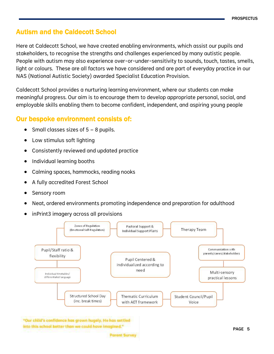## Autism and the Caldecott School

Here at Caldecott School, we have created enabling environments, which assist our pupils and stakeholders, to recognise the strengths and challenges experienced by many autistic people. People with autism may also experience over-or-under-sensitivity to sounds, touch, tastes, smells, light or colours. These are all factors we have considered and are part of everyday practice in our NAS (National Autistic Society) awarded Specialist Education Provision.

Caldecott School provides a nurturing learning environment, where our students can make meaningful progress. Our aim is to encourage them to develop appropriate personal, social, and employable skills enabling them to become confident, independent, and aspiring young people

## Our bespoke environment consists of:

- Small classes sizes of 5 8 pupils.
- Low stimulus soft lighting
- Consistently reviewed and updated practice
- Individual learning booths
- Calming spaces, hammocks, reading nooks
- A fully accredited Forest School
- Sensory room
- Neat, ordered environments promoting independence and preparation for adulthood
- inPrint3 imagery across all provisions



"Our child's confidence has grown hugely. He has settled into this school better than we could have imagined."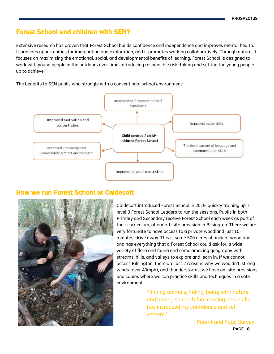## Forest School and children with SEN?

Extensive research has proven that Forest School builds confidence and independence and improves mental health. It provides opportunities for imagination and exploration, and it promotes working collaboratively. Through nature, it focuses on maximising the emotional, social, and developmental benefits of learning. Forest School is designed to work with young people in the outdoors over time, introducing responsible risk-taking and setting the young people up to achieve.

The benefits to SEN pupils who struggle with a conventional school environment:



## How we run Forest School at Caldecott



Caldecott introduced Forest School in 2019, quickly training up 7 level 3 Forest School Leaders to run the sessions. Pupils in both Primary and Secondary receive Forest School each week as part of their curriculum, at our off-site provision in Bilsington. There we are very fortunate to have access to a private woodland just 10 minutes' drive away. This is some 500 acres of ancient woodland and has everything that a Forest School could ask for, a wide variety of flora and fauna and some amazing geography with streams, hills, and valleys to explore and learn in. If we cannot access Bilsington; there are just 2 reasons why we wouldn't, strong winds (over 40mph), and thunderstorms; we have on-site provisions and cabins where we can practice skills and techniques in a safe environment.

> 'Finding animals, hiding, being with nature and having so much fun learning new skills, has increased my confidence and selfesteem.'

> > PAGE 6 Parent and Pupil Survey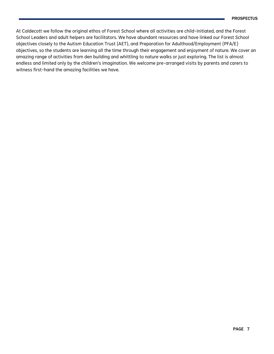At Caldecott we follow the original ethos of Forest School where all activities are child-initiated, and the Forest School Leaders and adult helpers are facilitators. We have abundant resources and have linked our Forest School objectives closely to the Autism Education Trust (AET), and Preparation for Adulthood/Employment (PFA/E) objectives, so the students are learning all the time through their engagement and enjoyment of nature. We cover an amazing range of activities from den building and whittling to nature walks or just exploring. The list is almost endless and limited only by the children's imagination. We welcome pre-arranged visits by parents and carers to witness first-hand the amazing facilities we have.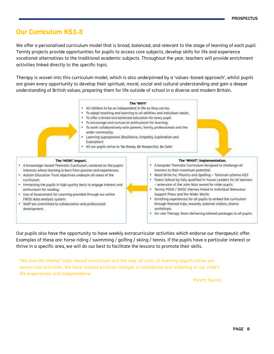## Our Curriculum KS1-3

We offer a personalised curriculum model that is broad, balanced, and relevant to the stage of learning of each pupil. Termly projects provide opportunities for pupils to access core subjects, develop skills for life and experience vocational alternatives to the traditional academic subjects. Throughout the year, teachers will provide enrichment activities linked directly to the specific topic.

Therapy is woven into this curriculum model, which is also underpinned by a 'values-based approach', whilst pupils are given every opportunity to develop their spiritual, moral, social and cultural understanding and gain a deeper understanding of British values, preparing them for life outside of school in a diverse and modern Britain.



Our pupils also have the opportunity to have weekly extracurricular activities which endorse our therapeutic offer. Examples of these are: horse riding / swimming / golfing / skiing / tennis. If the pupils have a particular interest or thrive in a specific area, we will do our best to facilitate the lessons to promote their skills.

'We love the theme/ topic-based curriculum and the way all sorts of learning opportunities are woven into activities. We have noticed positive changes in confidence and widening of our child's life experiences and independence.'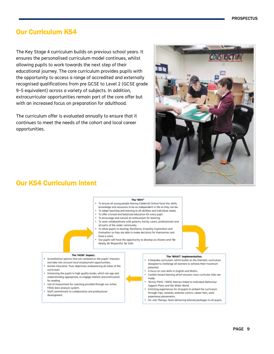## Our Curriculum KS4

The Key Stage 4 curriculum builds on previous school years. It ensures the personalised curriculum model continues, whilst allowing pupils to work towards the next step of their educational journey. The core curriculum provides pupils with the opportunity to access a range of accredited and externally recognised qualifications from pre GCSE to Level 2 (GCSE grade 9-5 equivalent) across a variety of subjects. In addition, extracurricular opportunities remain part of the core offer but with an increased focus on preparation for adulthood.

The curriculum offer is evaluated annually to ensure that it continues to meet the needs of the cohort and local career opportunities.



## Our KS4 Curriculum Intent

#### The 'WHY'

- To ensure all young people leaving Caldecott School have the; skills,
- knowledge and resources to be as independent in life as they can be.
- . To adapt teaching and learning to all abilities and individual needs.
- . To offer a broad and balanced education for every pupil.
- . To encourage and nurture an enthusiasm for learning.
- . To work collaboratively with parents, family, carers, professionals and all parts of the wider community.
- To allow pupils to develop; Resilience, Empathy, Exploration and Evaluation so they are able to make decisions for themselves and have a voice.
- Our pupils will have the opportunity to develop as citizens and "Be Ready, Be Respectful, Be Safe.'

#### The 'HOW'. Impact.

- Accreditation options that are centered on the pupils' interests
- and take into account local employment opportunities. . Autism Education Trust objectives underpinning all areas of the
- curriculum
- . Immersing the pupils in high quality books, which are age and understanding appropriate, to engage interest and enthusiasm for reading.
- . Use of Assessment for Learning provided through our online FROG data analysis system.
- . Staff commitment to collaboration and professional
- development.

#### The 'WHAT'. Implementation.

- A bespoke curriculum, which builds on the themotic curriculum. designed to challenge all learners to achieve their maximum potential.
- A focus on core skills in English and Maths.
- Context based learning which ensures cross curricular links are made.
- Termly PSHE / SMSC themes linked to Individual Behaviour Support Plans and the Wider World.
- Enriching experiences for all pupils to embed the curriculum  $\bullet$ through trips, rewards, external visitors, career fairs, work experience placements.
- . On-site Therapy Team delivering tailored packages to all pupils.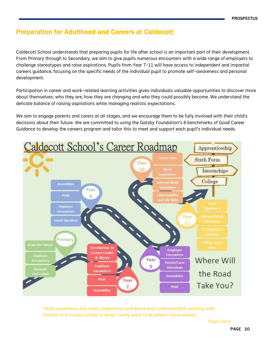## Preparation for Adulthood and Careers at Caldecott

Caldecott School understands that preparing pupils for life after school is an important part of their development. From Primary through to Secondary, we aim to give pupils numerous encounters with a wide range of employers to challenge stereotypes and raise aspirations. Pupils from Year 7-11 will have access to independent and impartial careers guidance, focusing on the specific needs of the individual pupil to promote self-awareness and personal development.

Participation in career and work-related learning activities gives individuals valuable opportunities to discover more about themselves: who they are, how they are changing and who they could possibly become. We understand the delicate balance of raising aspirations while managing realistic expectations.

We aim to engage parents and carers at all stages, and we encourage them to be fully involved with their child's decisions about their future. We are committed to using the Gatsby Foundation's 8 benchmarks of Good Career Guidance to develop the careers program and tailor this to meet and support each pupil's individual needs.



"Work experience has really helped my confidence and confirmed that working with children in a nursery school is what I really want to do when I leave school."

Pupil voice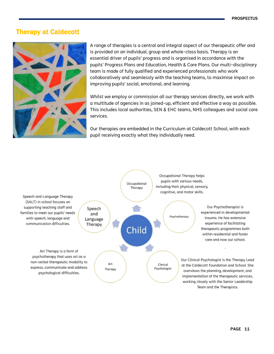## Therapy at Caldecott



A range of therapies is a central and integral aspect of our therapeutic offer and is provided on an individual, group and whole-class basis. Therapy is an essential driver of pupils' progress and is organised in accordance with the pupils' Progress Plans and Education, Health & Care Plans. Our multi-disciplinary team is made of fully qualified and experienced professionals who work collaboratively and seamlessly with the teaching teams, to maximise impact on improving pupils' social, emotional, and learning.

Whilst we employ or commission all our therapy services directly, we work with a multitude of agencies in as joined-up, efficient and effective a way as possible. This includes local authorities, SEN & EHC teams, NHS colleagues and social care services.

Our therapies are embedded in the Curriculum at Caldecott School, with each pupil receiving exactly what they individually need.

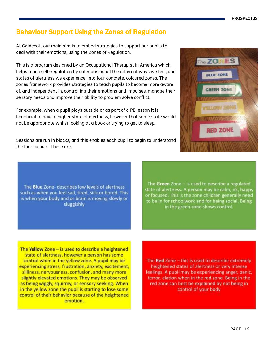PAGE 12

## **PROSPECTUS**

## Behaviour Support Using the Zones of Regulation

At Caldecott our main aim is to embed strategies to support our pupils to deal with their emotions, using the Zones of Regulation.

This is a program designed by an Occupational Therapist in America which helps teach self-regulation by categorising all the different ways we feel, and states of alertness we experience, into four concrete, coloured zones. The zones framework provides strategies to teach pupils to become more aware of, and independent in, controlling their emotions and impulses, manage their sensory needs and improve their ability to problem solve conflict.

For example, when a pupil plays outside or as part of a PE lesson it is beneficial to have a higher state of alertness, however that same state would not be appropriate whilst looking at a book or trying to get to sleep.

Sessions are run in blocks, and this enables each pupil to begin to understand the four colours. These are:

The Blue Zone- describes low levels of alertness such as when you feel sad, tired, sick or bored. This is when your body and or brain is moving slowly or sluggishly

The Green Zone - is used to describe a regulated state of alertness. A person may be calm, ok, happy or focused. This is the zone children generally need to be in for schoolwork and for being social. Being in the green zone shows control.

The Yellow Zone  $-$  is used to describe a heightened state of alertness, however a person has some control when in the yellow zone. A pupil may be experiencing stress, frustration, anxiety, excitement, silliness, nervousness, confusion, and many more slightly elevated emotions. They may be observed as being wiggly, squirmy, or sensory seeking. When in the yellow zone the pupil is starting to lose some control of their behavior because of the heightened emotion.

The Red Zone - this is used to describe extremely heightened states of alertness or very intense feelings. A pupil may be experiencing anger, panic, terror, elation when in the red zone. Being in the red zone can best be explained by not being in control of your body

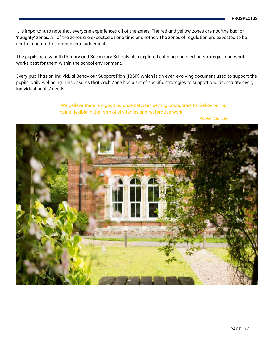It is important to note that everyone experiences all of the zones. The red and yellow zones are not 'the bad' or 'naughty' zones. All of the zones are expected at one time or another. The zones of regulation are expected to be neutral and not to communicate judgement.

The pupils across both Primary and Secondary Schools also explored calming and alerting strategies and what works best for them within the school environment.

Every pupil has an Individual Behaviour Support Plan (IBSP) which is an ever-evolving document used to support the pupils' daily wellbeing. This ensures that each Zone has a set of specific strategies to support and deescalate every individual pupils' needs.

> 'We believe there is a good balance between setting boundaries for behaviour but being flexible in the form of strategies and restorative work.'

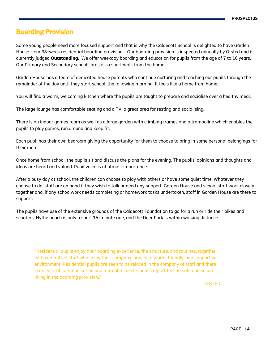## Boarding Provision

Some young people need more focused support and that is why the Caldecott School is delighted to have Garden House - our 38-week residential boarding provision. Our boarding provision is inspected annually by Ofsted and is currently judged **Outstanding**. We offer weekday boarding and education for pupils from the age of 7 to 16 years. Our Primary and Secondary schools are just a short walk from the home.

Garden House has a team of dedicated house parents who continue nurturing and teaching our pupils through the remainder of the day until they start school, the following morning. It feels like a home from home.

You will find a warm, welcoming kitchen where the pupils are taught to prepare and socialise over a healthy meal.

The large lounge has comfortable seating and a TV; a great area for resting and socialising.

There is an indoor games room as well as a large garden with climbing frames and a trampoline which enables the pupils to play games, run around and keep fit.

Each pupil has their own bedroom giving the opportunity for them to choose to bring in some personal belongings for their room.

Once home from school, the pupils sit and discuss the plans for the evening. The pupils' opinions and thoughts and ideas are heard and valued. Pupil voice is of utmost importance.

After a busy day at school, the children can choose to play with others or have some quiet time. Whatever they choose to do, staff are on hand if they wish to talk or need any support. Garden House and school staff work closely together and, if any schoolwork needs completing or homework tasks undertaken, staff in Garden House are there to support.

The pupils have use of the extensive grounds of the Caldecott Foundation to go for a run or ride their bikes and scooters. Hythe beach is only a short 15-minute ride, and the Deer Park is within walking distance.

"Residential pupils enjoy their boarding experience, the structure, and routines, together with committed staff who enjoy their company, provide a warm, friendly, and supportive environment. Residential pupils are seen to be relaxed in the company of staff and there is an ease of communication and mutual respect - pupils report feeling safe and secure living in the boarding provision."

**OFSTED**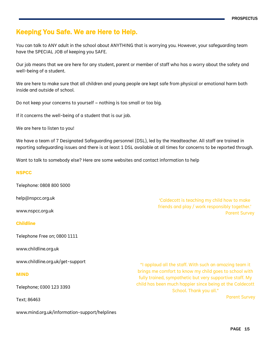## Keeping You Safe. We are Here to Help.

You can talk to ANY adult in the school about ANYTHING that is worrying you. However, your safeguarding team have the SPECIAL JOB of keeping you SAFE.

Our job means that we are here for any student, parent or member of staff who has a worry about the safety and well-being of a student.

We are here to make sure that all children and young people are kept safe from physical or emotional harm both inside and outside of school.

Do not keep your concerns to yourself – nothing is too small or too big.

If it concerns the well-being of a student that is our job.

We are here to listen to you!

We have a team of 7 Designated Safeguarding personnel (DSL), led by the Headteacher. All staff are trained in reporting safeguarding issues and there is at least 1 DSL available at all times for concerns to be reported through.

Want to talk to somebody else? Here are some websites and contact information to help

### **NSPCC**

Telephone: 0808 800 5000

help@nspcc.org.uk

www.nspcc.org.uk

### **Childline**

Telephone Free on; 0800 1111

www.childline.org.uk

www.childline.org.uk/get-support

### **MIND**

Telephone; 0300 123 3393

Text; 86463

www.mind.org.uk/information-support/helplines

'Caldecott is teaching my child how to make friends and play / work responsibly together.' Parent Survey

"I applaud all the staff. With such an amazing team it brings me comfort to know my child goes to school with fully trained, sympathetic but very supportive staff. My child has been much happier since being at the Caldecott School. Thank you all."